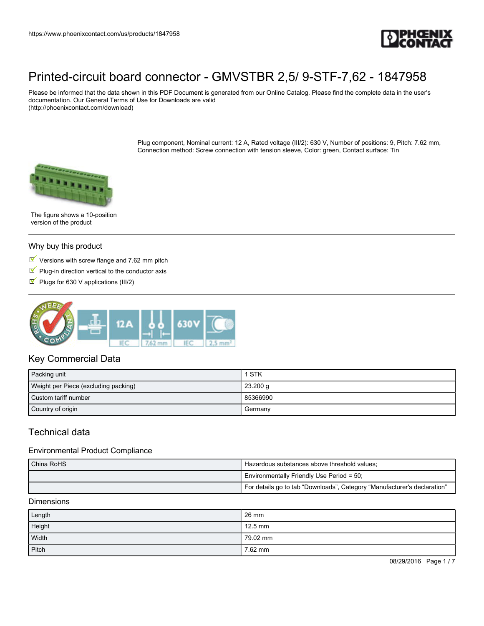

Please be informed that the data shown in this PDF Document is generated from our Online Catalog. Please find the complete data in the user's documentation. Our General Terms of Use for Downloads are valid (http://phoenixcontact.com/download)

> Plug component, Nominal current: 12 A, Rated voltage (III/2): 630 V, Number of positions: 9, Pitch: 7.62 mm, Connection method: Screw connection with tension sleeve, Color: green, Contact surface: Tin



The figure shows a 10-position version of the product

#### Why buy this product

- $\blacksquare$  Versions with screw flange and 7.62 mm pitch
- $\blacksquare$  Plug-in direction vertical to the conductor axis
- Plugs for 630 V applications (III/2)



## Key Commercial Data

| Packing unit                         | 1 STK      |
|--------------------------------------|------------|
| Weight per Piece (excluding packing) | $23.200$ g |
| Custom tariff number                 | 85366990   |
| Country of origin                    | Germany    |

## Technical data

#### Environmental Product Compliance

| China RoHS | Hazardous substances above threshold values;                             |  |
|------------|--------------------------------------------------------------------------|--|
|            | Environmentally Friendly Use Period = 50;                                |  |
|            | For details go to tab "Downloads", Category "Manufacturer's declaration" |  |

#### **Dimensions**

| Length | $26 \text{ mm}$ |
|--------|-----------------|
| Height | $12.5$ mm       |
| Width  | 79.02 mm        |
| Pitch  | 7.62 mm         |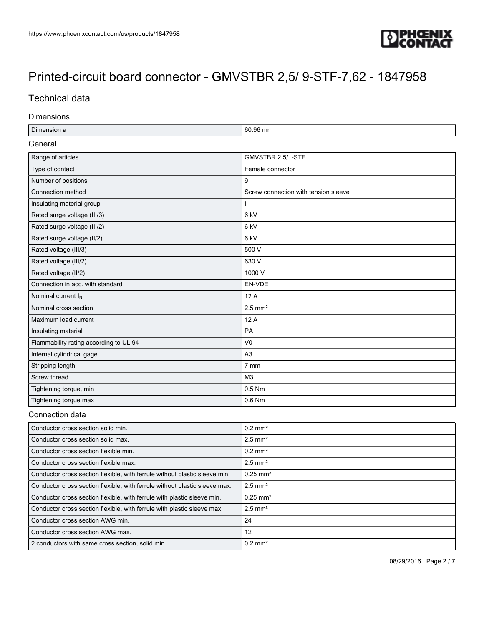

## Technical data

#### Dimensions

| Dimension a                            | 60.96 mm                             |  |
|----------------------------------------|--------------------------------------|--|
| General                                |                                      |  |
| Range of articles                      | GMVSTBR 2,5/-STF                     |  |
| Type of contact                        | Female connector                     |  |
| Number of positions                    | 9                                    |  |
| Connection method                      | Screw connection with tension sleeve |  |
| Insulating material group              |                                      |  |
| Rated surge voltage (III/3)            | 6 <sub>kV</sub>                      |  |
| Rated surge voltage (III/2)            | 6 <sub>kV</sub>                      |  |
| Rated surge voltage (II/2)             | 6 <sub>kV</sub>                      |  |
| Rated voltage (III/3)                  | 500 V                                |  |
| Rated voltage (III/2)                  | 630 V                                |  |
| Rated voltage (II/2)                   | 1000 V                               |  |
| Connection in acc. with standard       | EN-VDE                               |  |
| Nominal current I <sub>N</sub>         | 12A                                  |  |
| Nominal cross section                  | $2.5$ mm <sup>2</sup>                |  |
| Maximum load current                   | 12 A                                 |  |
| Insulating material                    | PA                                   |  |
| Flammability rating according to UL 94 | V <sub>0</sub>                       |  |
| Internal cylindrical gage              | A <sub>3</sub>                       |  |
| Stripping length                       | 7 mm                                 |  |
| Screw thread                           | M3                                   |  |
| Tightening torque, min                 | 0.5 Nm                               |  |
| Tightening torque max                  | 0.6 Nm                               |  |

## Connection data

| Conductor cross section solid min.                                         | $0.2$ mm <sup>2</sup>  |
|----------------------------------------------------------------------------|------------------------|
| Conductor cross section solid max.                                         | $2.5$ mm <sup>2</sup>  |
| Conductor cross section flexible min.                                      | $0.2$ mm <sup>2</sup>  |
| Conductor cross section flexible max.                                      | $2.5$ mm <sup>2</sup>  |
| Conductor cross section flexible, with ferrule without plastic sleeve min. | $0.25$ mm <sup>2</sup> |
| Conductor cross section flexible, with ferrule without plastic sleeve max. | $2.5$ mm <sup>2</sup>  |
| Conductor cross section flexible, with ferrule with plastic sleeve min.    | $0.25$ mm <sup>2</sup> |
| Conductor cross section flexible, with ferrule with plastic sleeve max.    | $2.5$ mm <sup>2</sup>  |
| Conductor cross section AWG min.                                           | 24                     |
| Conductor cross section AWG max.                                           | 12                     |
| 2 conductors with same cross section, solid min.                           | $0.2$ mm <sup>2</sup>  |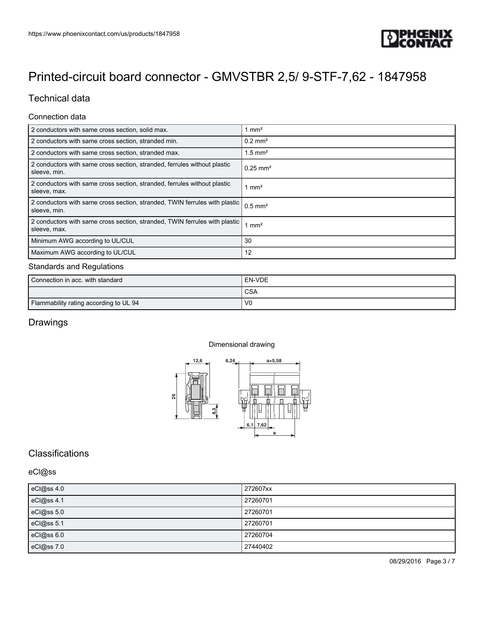

## Technical data

### Connection data

| 2 conductors with same cross section, solid max.                                           | mm <sup>2</sup>        |
|--------------------------------------------------------------------------------------------|------------------------|
| 2 conductors with same cross section, stranded min.                                        | $0.2$ mm <sup>2</sup>  |
| 2 conductors with same cross section, stranded max.                                        | $1.5$ mm <sup>2</sup>  |
| 2 conductors with same cross section, stranded, ferrules without plastic<br>sleeve, min.   | $0.25$ mm <sup>2</sup> |
| 2 conductors with same cross section, stranded, ferrules without plastic<br>sleeve, max.   | 1 mm <sup>2</sup>      |
| 2 conductors with same cross section, stranded, TWIN ferrules with plastic<br>sleeve, min. | $0.5$ mm <sup>2</sup>  |
| 2 conductors with same cross section, stranded, TWIN ferrules with plastic<br>sleeve, max. | 1 mm <sup>2</sup>      |
| Minimum AWG according to UL/CUL                                                            | 30                     |
| Maximum AWG according to UL/CUL                                                            | 12                     |

### Standards and Regulations

| Connection in acc. with standard       | EN-VDE         |
|----------------------------------------|----------------|
|                                        | <b>CSA</b>     |
| Flammability rating according to UL 94 | V <sub>0</sub> |

## **Drawings**

#### Dimensional drawing



# **Classifications**

### eCl@ss

| eCl@ss 4.0 | 272607xx |
|------------|----------|
| eCl@ss 4.1 | 27260701 |
| eCl@ss 5.0 | 27260701 |
| eCl@ss 5.1 | 27260701 |
| eCl@ss 6.0 | 27260704 |
| eCl@ss 7.0 | 27440402 |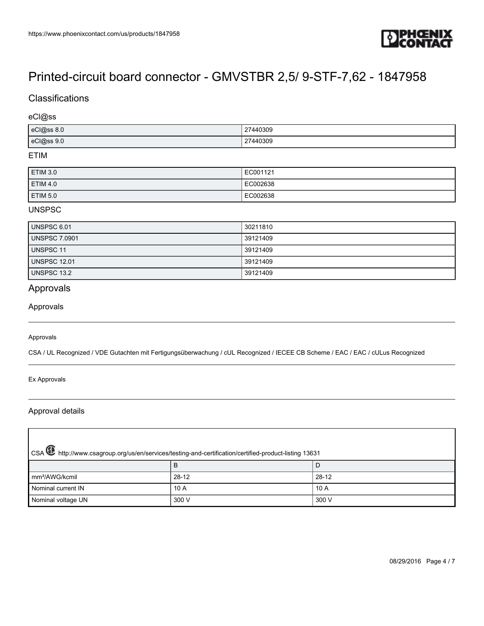

## **Classifications**

### eCl@ss

| eCl@ss 8.0 | 27440309      |
|------------|---------------|
| eCl@ss 9.0 | 27440309<br>. |

### ETIM

| <b>ETIM 3.0</b> | EC001121 |
|-----------------|----------|
| <b>ETIM 4.0</b> | EC002638 |
| <b>ETIM 5.0</b> | EC002638 |

### UNSPSC

| UNSPSC 6.01          | 30211810 |
|----------------------|----------|
| <b>UNSPSC 7.0901</b> | 39121409 |
| <b>UNSPSC 11</b>     | 39121409 |
| <b>UNSPSC 12.01</b>  | 39121409 |
| UNSPSC 13.2          | 39121409 |

# Approvals

#### Approvals

#### Approvals

CSA / UL Recognized / VDE Gutachten mit Fertigungsüberwachung / cUL Recognized / IECEE CB Scheme / EAC / EAC / cULus Recognized

#### Ex Approvals

#### Approval details

| CSA <b>W</b> http://www.csagroup.org/us/en/services/testing-and-certification/certified-product-listing 13631 |         |         |  |
|---------------------------------------------------------------------------------------------------------------|---------|---------|--|
|                                                                                                               |         | D       |  |
| Im <sup>2</sup> /AWG/kcmil                                                                                    | $28-12$ | $28-12$ |  |
| Nominal current IN                                                                                            | 10 A    | 10A     |  |
| Nominal voltage UN                                                                                            | 300 V   | 300 V   |  |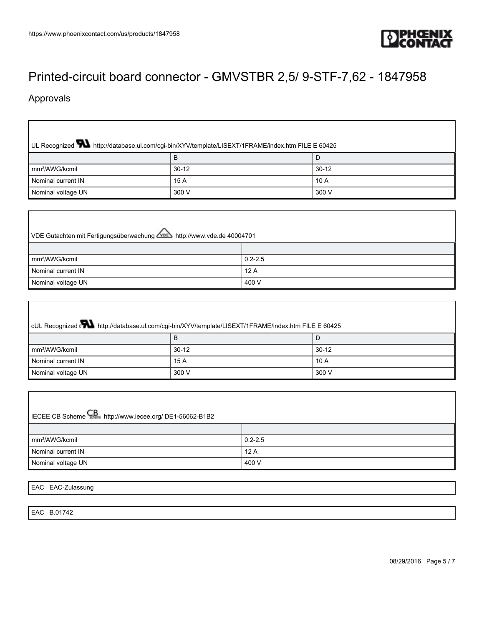

# Approvals

I

| UL Recognized <b>W</b> http://database.ul.com/cgi-bin/XYV/template/LISEXT/1FRAME/index.htm FILE E 60425 |         |         |  |  |
|---------------------------------------------------------------------------------------------------------|---------|---------|--|--|
|                                                                                                         |         | D       |  |  |
| mm <sup>2</sup> /AWG/kcmil                                                                              | $30-12$ | $30-12$ |  |  |
| Nominal current IN                                                                                      | 15 A    | 10A     |  |  |
| Nominal voltage UN                                                                                      | 300 V   | 300 V   |  |  |

| VDE Gutachten mit Fertigungsüberwachung <b>VDE</b> http://www.vde.de 40004701 |             |  |
|-------------------------------------------------------------------------------|-------------|--|
|                                                                               |             |  |
| mm <sup>2</sup> /AWG/kcmil                                                    | $0.2 - 2.5$ |  |
| Nominal current IN                                                            | 12A         |  |
| Nominal voltage UN                                                            | 400 V       |  |

| cUL Recognized Nattp://database.ul.com/cgi-bin/XYV/template/LISEXT/1FRAME/index.htm FILE E 60425 |         |           |  |  |
|--------------------------------------------------------------------------------------------------|---------|-----------|--|--|
|                                                                                                  |         | D         |  |  |
| mm <sup>2</sup> /AWG/kcmil                                                                       | $30-12$ | $30 - 12$ |  |  |
| Nominal current IN                                                                               | 15 A    | 10A       |  |  |
| Nominal voltage UN                                                                               | 300 V   | 300 V     |  |  |

| IECEE CB Scheme CB http://www.iecee.org/ DE1-56062-B1B2 |             |  |  |  |
|---------------------------------------------------------|-------------|--|--|--|
|                                                         |             |  |  |  |
| mm <sup>2</sup> /AWG/kcmil                              | $0.2 - 2.5$ |  |  |  |
| Nominal current IN                                      | 12A         |  |  |  |
| Nominal voltage UN                                      | 400 V       |  |  |  |

EAC EAC-Zulassung

EAC B.01742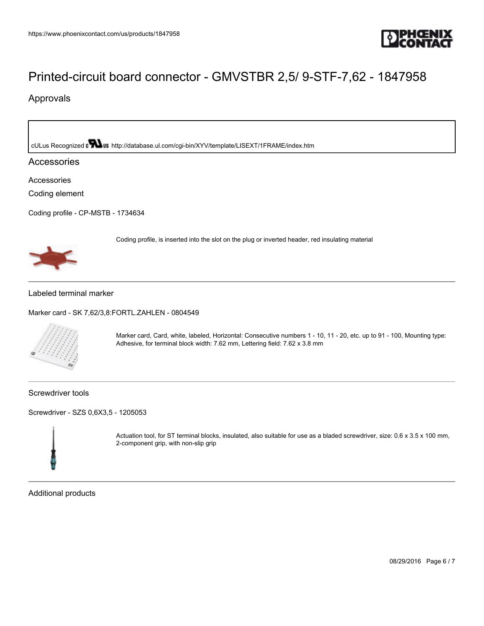

Coding profile, is inserted into the slot on the plug or inverted header, red insulating material

## Approvals

cULus Recognized **Mus** <http://database.ul.com/cgi-bin/XYV/template/LISEXT/1FRAME/index.htm>

### Accessories

Accessories

Coding element

[Coding profile - CP-MSTB - 1734634](https://www.phoenixcontact.com/us/products/1734634)



#### Labeled terminal marker

[Marker card - SK 7,62/3,8:FORTL.ZAHLEN - 0804549](https://www.phoenixcontact.com/us/products/0804549)



Marker card, Card, white, labeled, Horizontal: Consecutive numbers 1 - 10, 11 - 20, etc. up to 91 - 100, Mounting type: Adhesive, for terminal block width: 7.62 mm, Lettering field: 7.62 x 3.8 mm

Screwdriver tools

[Screwdriver - SZS 0,6X3,5 - 1205053](https://www.phoenixcontact.com/us/products/1205053)



Actuation tool, for ST terminal blocks, insulated, also suitable for use as a bladed screwdriver, size: 0.6 x 3.5 x 100 mm, 2-component grip, with non-slip grip

Additional products